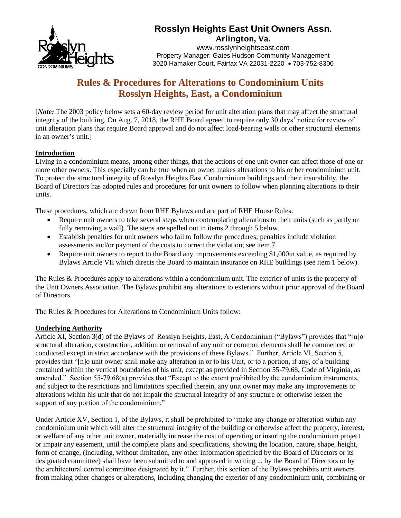

# **Rosslyn Heights East Unit Owners Assn.**

Arlington, Va. www.rosslynheightseast.com Property Manager: Gates Hudson Community Management 3020 Hamaker Court, Fairfax VA 22031-2220 • 703-752-8300

## **Rules & Procedures for Alterations to Condominium Units Rosslyn Heights, East, a Condominium**

[*Note:* The 2003 policy below sets a 60-day review period for unit alteration plans that may affect the structural integrity of the building. On Aug. 7, 2018, the RHE Board agreed to require only 30 days' notice for review of unit alteration plans that require Board approval and do not affect load-bearing walls or other structural elements in an owner's unit.]

## **Introduction**

Living in a condominium means, among other things, that the actions of one unit owner can affect those of one or more other owners. This especially can be true when an owner makes alterations to his or her condominium unit. To protect the structural integrity of Rosslyn Heights East Condominium buildings and their insurability, the Board of Directors has adopted rules and procedures for unit owners to follow when planning alterations to their units.

These procedures, which are drawn from RHE Bylaws and are part of RHE House Rules:

- Require unit owners to take several steps when contemplating alterations to their units (such as partly or fully removing a wall). The steps are spelled out in items 2 through 5 below.
- Establish penalties for unit owners who fail to follow the procedures; penalties include violation assessments and/or payment of the costs to correct the violation; see item 7.
- Require unit owners to report to the Board any improvements exceeding \$1,000in value, as required by Bylaws Article VII which directs the Board to maintain insurance on RHE buildings (see item 1 below).

The Rules & Procedures apply to alterations within a condominium unit. The exterior of units is the property of the Unit Owners Association. The Bylaws prohibit any alterations to exteriors without prior approval of the Board of Directors.

The Rules & Procedures for Alterations to Condominium Units follow:

#### **Underlying Authority**

Article XI, Section 3(d) of the Bylaws of Rosslyn Heights, East, A Condominium ("Bylaws") provides that "[n]o structural alteration, construction, addition or removal of any unit or common elements shall be commenced or conducted except in strict accordance with the provisions of these Bylaws." Further, Article VI, Section 5, provides that "[n]o unit owner shall make any alteration in or to his Unit, or to a portion, if any, of a building contained within the vertical boundaries of his unit, except as provided in Section 55-79.68, Code of Virginia, as amended." Section 55-79.68(a) provides that "Except to the extent prohibited by the condominium instruments, and subject to the restrictions and limitations specified therein, any unit owner may make any improvements or alterations within his unit that do not impair the structural integrity of any structure or otherwise lessen the support of any portion of the condominium."

Under Article XV, Section 1, of the Bylaws, it shall be prohibited to "make any change or alteration within any condominium unit which will alter the structural integrity of the building or otherwise affect the property, interest, or welfare of any other unit owner, materially increase the cost of operating or insuring the condominium project or impair any easement, until the complete plans and specifications, showing the location, nature, shape, height, form of change, (including, without limitation, any other information specified by the Board of Directors or its designated committee) shall have been submitted to and approved in writing ... by the Board of Directors or by the architectural control committee designated by it." Further, this section of the Bylaws prohibits unit owners from making other changes or alterations, including changing the exterior of any condominium unit, combining or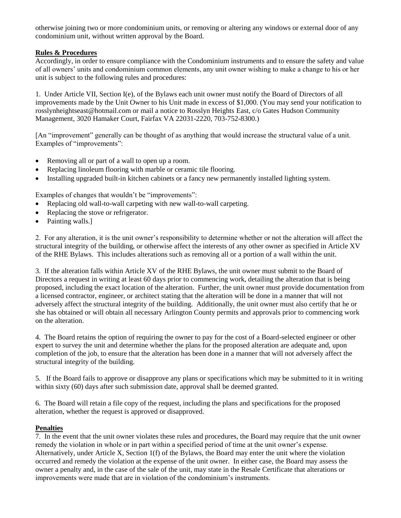otherwise joining two or more condominium units, or removing or altering any windows or external door of any condominium unit, without written approval by the Board.

#### **Rules & Procedures**

Accordingly, in order to ensure compliance with the Condominium instruments and to ensure the safety and value of all owners' units and condominium common elements, any unit owner wishing to make a change to his or her unit is subject to the following rules and procedures:

1. Under Article VII, Section I(e), of the Bylaws each unit owner must notify the Board of Directors of all improvements made by the Unit Owner to his Unit made in excess of \$1,000. (You may send your notification to rosslynheightseast@hotmail.com or mail a notice to Rosslyn Heights East, c/o Gates Hudson Community Management, 3020 Hamaker Court, Fairfax VA 22031-2220, 703-752-8300.)

[An "improvement" generally can be thought of as anything that would increase the structural value of a unit. Examples of "improvements":

- Removing all or part of a wall to open up a room.
- Replacing linoleum flooring with marble or ceramic tile flooring.
- Installing upgraded built-in kitchen cabinets or a fancy new permanently installed lighting system.

Examples of changes that wouldn't be "improvements":

- Replacing old wall-to-wall carpeting with new wall-to-wall carpeting.
- Replacing the stove or refrigerator.
- Painting walls.]

2. For any alteration, it is the unit owner's responsibility to determine whether or not the alteration will affect the structural integrity of the building, or otherwise affect the interests of any other owner as specified in Article XV of the RHE Bylaws. This includes alterations such as removing all or a portion of a wall within the unit.

3. If the alteration falls within Article XV of the RHE Bylaws, the unit owner must submit to the Board of Directors a request in writing at least 60 days prior to commencing work, detailing the alteration that is being proposed, including the exact location of the alteration. Further, the unit owner must provide documentation from a licensed contractor, engineer, or architect stating that the alteration will be done in a manner that will not adversely affect the structural integrity of the building. Additionally, the unit owner must also certify that he or she has obtained or will obtain all necessary Arlington County permits and approvals prior to commencing work on the alteration.

4. The Board retains the option of requiring the owner to pay for the cost of a Board-selected engineer or other expert to survey the unit and determine whether the plans for the proposed alteration are adequate and, upon completion of the job, to ensure that the alteration has been done in a manner that will not adversely affect the structural integrity of the building.

5. If the Board fails to approve or disapprove any plans or specifications which may be submitted to it in writing within sixty (60) days after such submission date, approval shall be deemed granted.

6. The Board will retain a file copy of the request, including the plans and specifications for the proposed alteration, whether the request is approved or disapproved.

## **Penalties**

7. In the event that the unit owner violates these rules and procedures, the Board may require that the unit owner remedy the violation in whole or in part within a specified period of time at the unit owner's expense. Alternatively, under Article X, Section 1(f) of the Bylaws, the Board may enter the unit where the violation occurred and remedy the violation at the expense of the unit owner. In either case, the Board may assess the owner a penalty and, in the case of the sale of the unit, may state in the Resale Certificate that alterations or improvements were made that are in violation of the condominium's instruments.